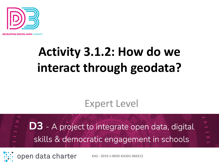

PING DIGITAL DATA LITERACY

# **Activity 3.1.2: How do we interact through geodata?**

#### Expert Level

 $\circ$ **D3** - A project to integrate open data, digital skills & democratic engagement in schools

open data charter

**KA2 - 2019-1-BE02-KA201-060212**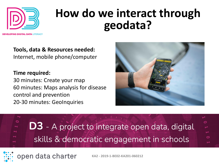

#### **How do we interact through geodata?**

N**g digital data** literacy

**Tools, data & Resources needed:**  Internet, mobile phone/computer

**Time required:** 30 minutes: Create your map 60 minutes: Maps analysis for disease control and prevention 20-30 minutes: GeoInquiries







open data charter **KA2 - 2019-1-BE02-KA201-060212**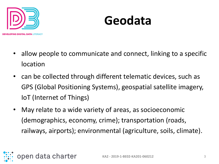

#### **Geodata**

- allow people to communicate and connect, linking to a specific location
- can be collected through different telematic devices, such as GPS (Global Positioning Systems), geospatial satellite imagery, IoT (Internet of Things)
- May relate to a wide variety of areas, as socioeconomic (demographics, economy, crime); transportation (roads, railways, airports); environmental (agriculture, soils, climate).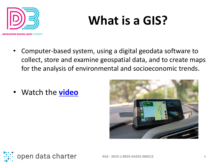

## **What is a GIS?**

- Computer-based system, using a digital geodata software to collect, store and examine geospatial data, and to create maps for the analysis of environmental and socioeconomic trends.
- Watch the **[video](https://www.youtube.com/watch?v=LHDCRjAxpI0&t=61s)**



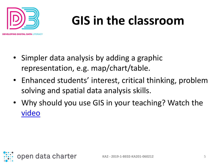

## **GIS in the classroom**

- Simpler data analysis by adding a graphic representation, e.g. map/chart/table.
- Enhanced students' interest, critical thinking, problem solving and spatial data analysis skills.
- Why should you use GIS in your teaching? Watch the [video](https://www.youtube.com/watch?v=7fnaOWfP-9A&t=69s)

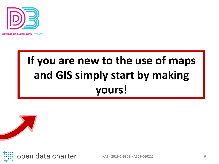

**OPING DIGITAL DATA LITERACY** 

#### **If you are new to the use of maps and GIS simply start by making yours!**





**KA2 - 2019-1-BE02-KA201-060212** 6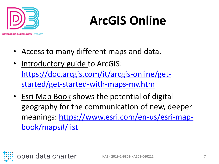

# **ArcGIS Online**

- Access to many different maps and data.
- Introductory guide to ArcGIS: [https://doc.arcgis.com/it/arcgis-online/get](https://doc.arcgis.com/it/arcgis-online/get-started/get-started-with-maps-mv.htm)started/get-started-with-maps-mv.htm
- Esri Map Book shows the potential of digital geography for the communication of new, deeper [meanings: https://www.esri.com/en-us/esri-map](https://www.esri.com/en-us/esri-map-book/maps#/list)book/maps#/list

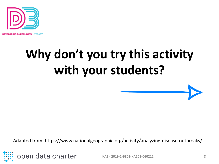

**OPING DIGITAL DATA LITERACY** 

# **Why don't you try this activity with your students?**

Adapted from: https://www.nationalgeographic.org/activity/analyzing-disease-outbreaks/



**KA2 - 2019-1-BE02-KA201-060212** 8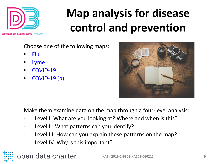

### **Map analysis for disease control and prevention**

I**NG DIGITAL DATA** LITERACY

Choose one of the following maps:

- [Flu](https://www.cdc.gov/flu/weekly/usmap.htm)
- **[Lyme](https://www.cdc.gov/lyme/datasurveillance/maps-recent.html)**
- [COVID-19](https://covid19.who.int/)
- [COVID-19 \(b\)](https://experience.arcgis.com/experience/3a056fc8839d47969ef59949e9984a71)



Make them examine data on the map through a four-level analysis:

- Level I: What are you looking at? Where and when is this?
- Level II: What patterns can you identify?
- Level III: How can you explain these patterns on the map?
- Level IV: Why is this important?

open data charter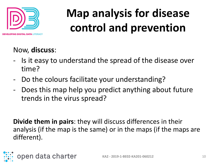

### **Map analysis for disease control and prevention**

#### Now, **discuss**:

- Is it easy to understand the spread of the disease over time?
- Do the colours facilitate your understanding?
- Does this map help you predict anything about future trends in the virus spread?

**Divide them in pairs**: they will discuss differences in their analysis (if the map is the same) or in the maps (if the maps are different).

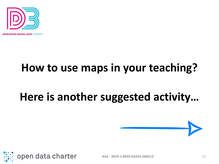

**OPING DIGITAL DATA LITERACY** 

#### **How to use maps in your teaching?**

#### **Here is another suggested activity…**



**KA2 - 2019-1-BE02-KA201-060212** 11